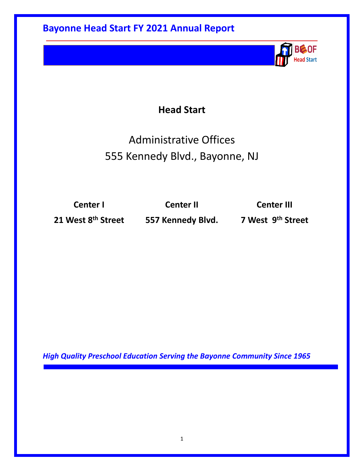# **Head Start**

# Administrative Offices 555 Kennedy Blvd., Bayonne, NJ

**Center I Center II Center III**

**21 West 8th Street 557 Kennedy Blvd. 7 West 9th Street**

**BC-OF Head Start** 

*High Quality Preschool Education Serving the Bayonne Community Since 1965*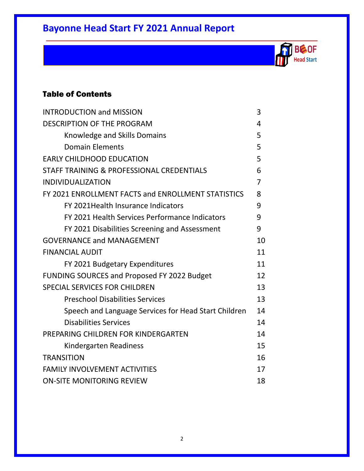**BCOF Head Start** 



| <b>INTRODUCTION and MISSION</b>                      | 3  |
|------------------------------------------------------|----|
| <b>DESCRIPTION OF THE PROGRAM</b>                    | 4  |
| Knowledge and Skills Domains                         | 5  |
| <b>Domain Elements</b>                               | 5  |
| <b>EARLY CHILDHOOD EDUCATION</b>                     | 5  |
| STAFF TRAINING & PROFESSIONAL CREDENTIALS            | 6  |
| <b>INDIVIDUALIZATION</b>                             | 7  |
| FY 2021 ENROLLMENT FACTS and ENROLLMENT STATISTICS   | 8  |
| FY 2021 Health Insurance Indicators                  | 9  |
| FY 2021 Health Services Performance Indicators       | 9  |
| FY 2021 Disabilities Screening and Assessment        | 9  |
| <b>GOVERNANCE and MANAGEMENT</b>                     | 10 |
| <b>FINANCIAL AUDIT</b>                               | 11 |
| FY 2021 Budgetary Expenditures                       | 11 |
| FUNDING SOURCES and Proposed FY 2022 Budget          | 12 |
| <b>SPECIAL SERVICES FOR CHILDREN</b>                 | 13 |
| <b>Preschool Disabilities Services</b>               | 13 |
| Speech and Language Services for Head Start Children | 14 |
| <b>Disabilities Services</b>                         | 14 |
| PREPARING CHILDREN FOR KINDERGARTEN                  | 14 |
| Kindergarten Readiness                               | 15 |
| <b>TRANSITION</b>                                    | 16 |
| <b>FAMILY INVOLVEMENT ACTIVITIES</b>                 | 17 |
| <b>ON-SITE MONITORING REVIEW</b>                     | 18 |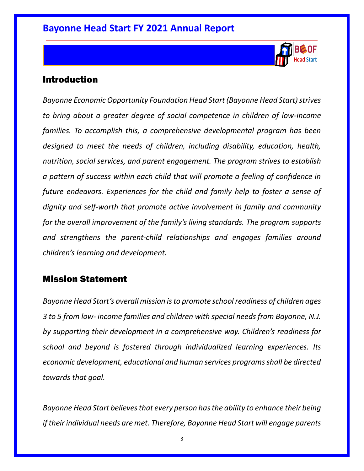

### Introduction

*Bayonne Economic Opportunity Foundation Head Start (Bayonne Head Start) strives to bring about a greater degree of social competence in children of low-income families. To accomplish this, a comprehensive developmental program has been designed to meet the needs of children, including disability, education, health, nutrition, social services, and parent engagement. The program strives to establish a pattern of success within each child that will promote a feeling of confidence in future endeavors. Experiences for the child and family help to foster a sense of dignity and self-worth that promote active involvement in family and community for the overall improvement of the family's living standards. The program supports and strengthens the parent-child relationships and engages families around children's learning and development.* 

### Mission Statement

*Bayonne Head Start's overall mission is to promote school readiness of children ages 3 to 5 from low- income families and children with special needs from Bayonne, N.J. by supporting their development in a comprehensive way. Children's readiness for school and beyond is fostered through individualized learning experiences. Its economic development, educational and human services programs shall be directed towards that goal.*

*Bayonne Head Start believes that every person has the ability to enhance their being if their individual needs are met. Therefore, Bayonne Head Start will engage parents*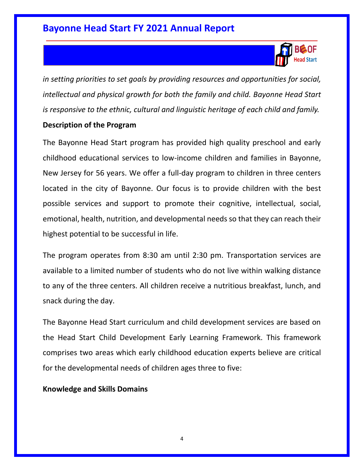

*in setting priorities to set goals by providing resources and opportunities for social, intellectual and physical growth for both the family and child. Bayonne Head Start is responsive to the ethnic, cultural and linguistic heritage of each child and family.*

#### **Description of the Program**

The Bayonne Head Start program has provided high quality preschool and early childhood educational services to low-income children and families in Bayonne, New Jersey for 56 years. We offer a full-day program to children in three centers located in the city of Bayonne. Our focus is to provide children with the best possible services and support to promote their cognitive, intellectual, social, emotional, health, nutrition, and developmental needs so that they can reach their highest potential to be successful in life.

The program operates from 8:30 am until 2:30 pm. Transportation services are available to a limited number of students who do not live within walking distance to any of the three centers. All children receive a nutritious breakfast, lunch, and snack during the day.

The Bayonne Head Start curriculum and child development services are based on the Head Start Child Development Early Learning Framework. This framework comprises two areas which early childhood education experts believe are critical for the developmental needs of children ages three to five:

#### **Knowledge and Skills Domains**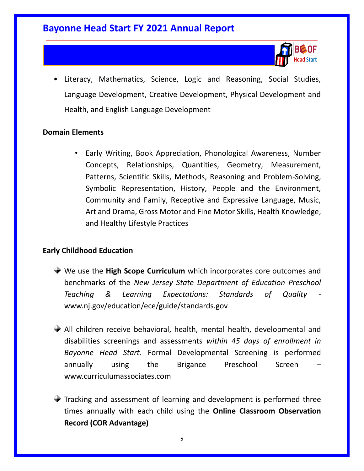

• Literacy, Mathematics, Science, Logic and Reasoning, Social Studies, Language Development, Creative Development, Physical Development and Health, and English Language Development

#### **Domain Elements**

• Early Writing, Book Appreciation, Phonological Awareness, Number Concepts, Relationships, Quantities, Geometry, Measurement, Patterns, Scientific Skills, Methods, Reasoning and Problem-Solving, Symbolic Representation, History, People and the Environment, Community and Family, Receptive and Expressive Language, Music, Art and Drama, Gross Motor and Fine Motor Skills, Health Knowledge, and Healthy Lifestyle Practices

#### **Early Childhood Education**

- We use the **High Scope Curriculum** which incorporates core outcomes and benchmarks of the *New Jersey State Department of Education Preschool Teaching & Learning Expectations: Standards of Quality*  www.nj.gov/education/ece/guide/standards.gov
- All children receive behavioral, health, mental health, developmental and disabilities screenings and assessments *within 45 days of enrollment in Bayonne Head Start.* Formal Developmental Screening is performed annually using the Brigance Preschool Screen – www.curriculumassociates.com
- $\blacktriangleright$  Tracking and assessment of learning and development is performed three times annually with each child using the **Online Classroom Observation Record (COR Advantage)**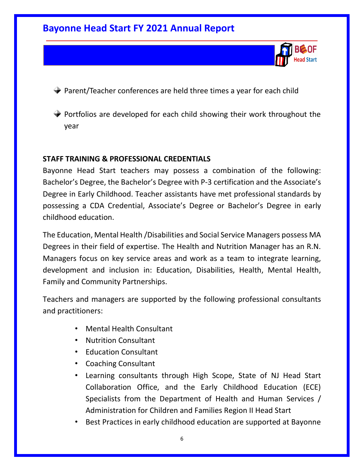

- $\blacktriangleright$  Parent/Teacher conferences are held three times a year for each child
- $\rightarrow$  Portfolios are developed for each child showing their work throughout the year

#### **STAFF TRAINING & PROFESSIONAL CREDENTIALS**

Bayonne Head Start teachers may possess a combination of the following: Bachelor's Degree, the Bachelor's Degree with P-3 certification and the Associate's Degree in Early Childhood. Teacher assistants have met professional standards by possessing a CDA Credential, Associate's Degree or Bachelor's Degree in early childhood education.

The Education, Mental Health /Disabilities and Social Service Managers possess MA Degrees in their field of expertise. The Health and Nutrition Manager has an R.N. Managers focus on key service areas and work as a team to integrate learning, development and inclusion in: Education, Disabilities, Health, Mental Health, Family and Community Partnerships.

Teachers and managers are supported by the following professional consultants and practitioners:

- Mental Health Consultant
- Nutrition Consultant
- Education Consultant
- Coaching Consultant
- Learning consultants through High Scope, State of NJ Head Start Collaboration Office, and the Early Childhood Education (ECE) Specialists from the Department of Health and Human Services / Administration for Children and Families Region II Head Start
- Best Practices in early childhood education are supported at Bayonne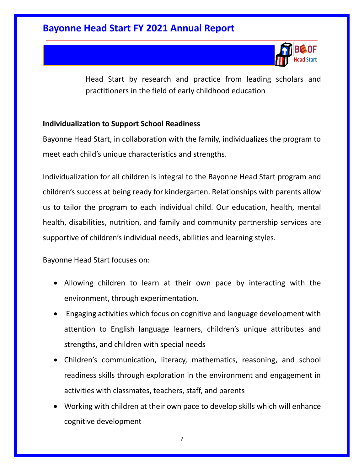

Head Start by research and practice from leading scholars and practitioners in the field of early childhood education

#### **Individualization to Support School Readiness**

Bayonne Head Start, in collaboration with the family, individualizes the program to meet each child's unique characteristics and strengths.

Individualization for all children is integral to the Bayonne Head Start program and children's success at being ready for kindergarten. Relationships with parents allow us to tailor the program to each individual child. Our education, health, mental health, disabilities, nutrition, and family and community partnership services are supportive of children's individual needs, abilities and learning styles.

Bayonne Head Start focuses on:

- Allowing children to learn at their own pace by interacting with the environment, through experimentation.
- Engaging activities which focus on cognitive and language development with attention to English language learners, children's unique attributes and strengths, and children with special needs
- Children's communication, literacy, mathematics, reasoning, and school readiness skills through exploration in the environment and engagement in activities with classmates, teachers, staff, and parents
- Working with children at their own pace to develop skills which will enhance cognitive development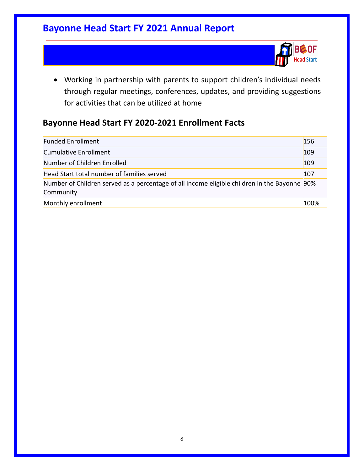

• Working in partnership with parents to support children's individual needs through regular meetings, conferences, updates, and providing suggestions for activities that can be utilized at home

### **Bayonne Head Start FY 2020-2021 Enrollment Facts**

| <b>Funded Enrollment</b>                                                                                  | <b>156</b> |
|-----------------------------------------------------------------------------------------------------------|------------|
| Cumulative Enrollment                                                                                     | 109        |
| Number of Children Enrolled                                                                               | 109        |
| Head Start total number of families served                                                                | 107        |
| Number of Children served as a percentage of all income eligible children in the Bayonne 90%<br>Community |            |
| Monthly enrollment                                                                                        | 100%       |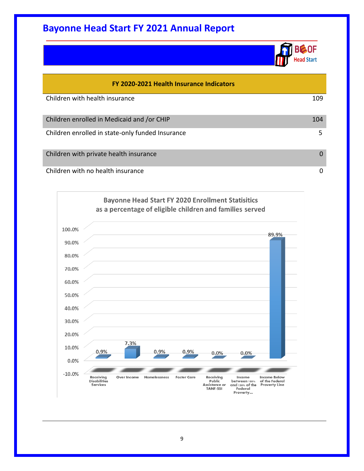|                                                  | <b>Head Start</b> |
|--------------------------------------------------|-------------------|
| FY 2020-2021 Health Insurance Indicators         |                   |
| Children with health insurance                   | 109               |
| Children enrolled in Medicaid and /or CHIP       | 104               |
| Children enrolled in state-only funded Insurance | 5                 |
| Children with private health insurance           | $\Omega$          |
| Children with no health insurance                | 0                 |

**BCOF** 

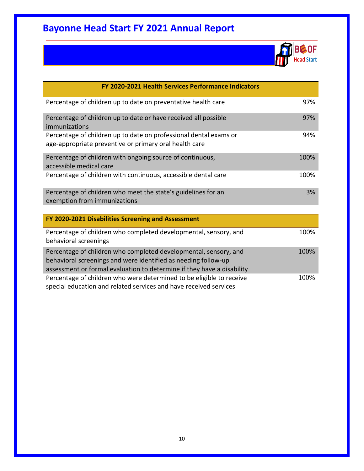![](_page_9_Picture_1.jpeg)

| FY 2020-2021 Health Services Performance Indicators                                                                                |      |
|------------------------------------------------------------------------------------------------------------------------------------|------|
| Percentage of children up to date on preventative health care                                                                      | 97%  |
| Percentage of children up to date or have received all possible<br>immunizations                                                   | 97%  |
| Percentage of children up to date on professional dental exams or<br>age-appropriate preventive or primary oral health care        | 94%  |
| Percentage of children with ongoing source of continuous,<br>accessible medical care                                               | 100% |
| Percentage of children with continuous, accessible dental care                                                                     | 100% |
| Percentage of children who meet the state's guidelines for an<br>exemption from immunizations                                      | 3%   |
| FY 2020-2021 Disabilities Screening and Assessment                                                                                 |      |
| Percentage of children who completed developmental, sensory, and<br>behavioral screenings                                          | 100% |
| Percentage of children who completed developmental, sensory, and<br>behavioral screenings and were identified as needing follow-up | 100% |

| assessment or formal evaluation to determine if they have a disability |      |
|------------------------------------------------------------------------|------|
| Percentage of children who were determined to be eligible to receive   | 100% |
| special education and related services and have received services      |      |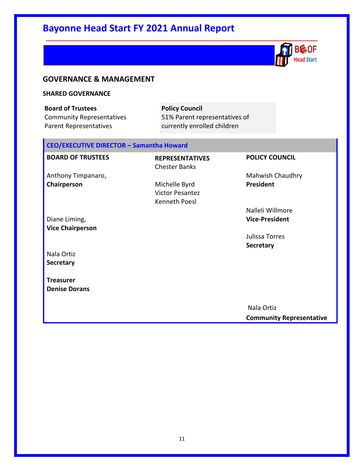![](_page_10_Picture_1.jpeg)

#### **GOVERNANCE & MANAGEMENT**

#### **SHARED GOVERNANCE**

**Board of Trustees** Community Representatives Parent Representatives

**Policy Council** 51% Parent representatives of currently enrolled children

#### **CEO/EXECUTIVE DIRECTOR – Samantha Howard**

| <b>BOARD OF TRUSTEES</b> | <b>REPRESENTATIVES</b> | <b>POLICY COUNCIL</b>           |
|--------------------------|------------------------|---------------------------------|
|                          | <b>Chester Banks</b>   |                                 |
| Anthony Timpanaro,       |                        | Mahwish Chaudhry                |
| Chairperson              | Michelle Byrd          | <b>President</b>                |
|                          | <b>Victor Pesantez</b> |                                 |
|                          | Kenneth Poesl          |                                 |
|                          |                        | Nalleli Willmore                |
| Diane Liming,            |                        | <b>Vice-President</b>           |
| <b>Vice Chairperson</b>  |                        |                                 |
|                          |                        | Julissa Torres                  |
|                          |                        | <b>Secretary</b>                |
| Nala Ortiz               |                        |                                 |
| <b>Secretary</b>         |                        |                                 |
|                          |                        |                                 |
| <b>Treasurer</b>         |                        |                                 |
| <b>Denise Dorans</b>     |                        |                                 |
|                          |                        |                                 |
|                          |                        | Nala Ortiz                      |
|                          |                        | <b>Community Representative</b> |
|                          |                        |                                 |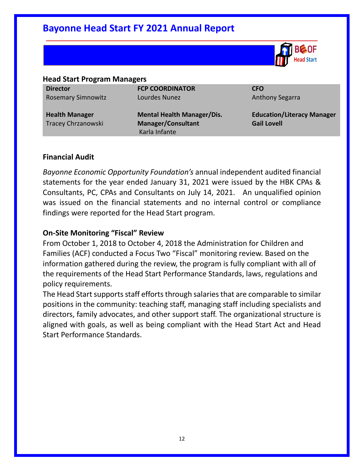![](_page_11_Picture_1.jpeg)

#### **Head Start Program Managers**

**Director** Rosemary Simnowitz

**Health Manager**  Tracey Chrzanowski **FCP COORDINATOR**  Lourdes Nunez

**Mental Health Manager/Dis. Manager/Consultant** Karla Infante

**CFO** Anthony Segarra

**Education/Literacy Manager Gail Lovell**

#### **Financial Audit**

*Bayonne Economic Opportunity Foundation's* annual independent audited financial statements for the year ended January 31, 2021 were issued by the HBK CPAs & Consultants, PC, CPAs and Consultants on July 14, 2021. An unqualified opinion was issued on the financial statements and no internal control or compliance findings were reported for the Head Start program.

#### **On-Site Monitoring "Fiscal" Review**

From October 1, 2018 to October 4, 2018 the Administration for Children and Families (ACF) conducted a Focus Two "Fiscal" monitoring review. Based on the information gathered during the review, the program is fully compliant with all of the requirements of the Head Start Performance Standards, laws, regulations and policy requirements.

The Head Start supports staff efforts through salaries that are comparable to similar positions in the community: teaching staff, managing staff including specialists and directors, family advocates, and other support staff. The organizational structure is aligned with goals, as well as being compliant with the Head Start Act and Head Start Performance Standards.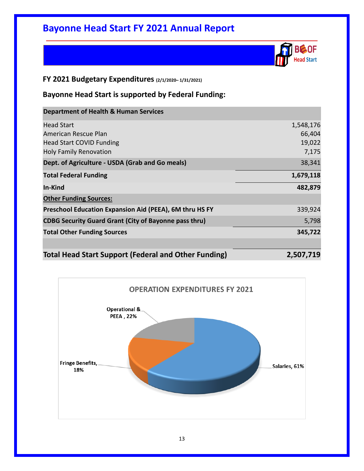![](_page_12_Picture_1.jpeg)

#### **FY 2021 Budgetary Expenditures (2/1/2020– 1/31/2021)**

**Bayonne Head Start is supported by Federal Funding:**

| <b>Department of Health &amp; Human Services</b>             |           |
|--------------------------------------------------------------|-----------|
| <b>Head Start</b>                                            | 1,548,176 |
| American Rescue Plan                                         | 66,404    |
| <b>Head Start COVID Funding</b>                              | 19,022    |
| <b>Holy Family Renovation</b>                                | 7,175     |
| Dept. of Agriculture - USDA (Grab and Go meals)              | 38,341    |
| <b>Total Federal Funding</b>                                 | 1,679,118 |
| In-Kind                                                      | 482,879   |
| <b>Other Funding Sources:</b>                                |           |
| Preschool Education Expansion Aid (PEEA), 6M thru HS FY      | 339,924   |
| <b>CDBG Security Guard Grant (City of Bayonne pass thru)</b> | 5,798     |
| <b>Total Other Funding Sources</b>                           | 345,722   |

#### **Total Head Start Support (Federal and Other Funding) 2,507,719**

![](_page_12_Figure_7.jpeg)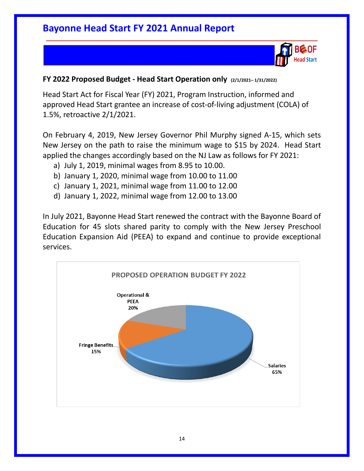![](_page_13_Picture_1.jpeg)

#### **FY 2022 Proposed Budget - Head Start Operation only (2/1/2021– 1/31/2022)**

Head Start Act for Fiscal Year (FY) 2021, Program Instruction, informed and approved Head Start grantee an increase of cost-of-living adjustment (COLA) of 1.5%, retroactive 2/1/2021.

On February 4, 2019, New Jersey Governor Phil Murphy signed A-15, which sets New Jersey on the path to raise the minimum wage to \$15 by 2024. Head Start applied the changes accordingly based on the NJ Law as follows for FY 2021:

- a) July 1, 2019, minimal wages from 8.95 to 10.00.
- b) January 1, 2020, minimal wage from 10.00 to 11.00
- c) January 1, 2021, minimal wage from 11.00 to 12.00
- d) January 1, 2022, minimal wage from 12.00 to 13.00

In July 2021, Bayonne Head Start renewed the contract with the Bayonne Board of Education for 45 slots shared parity to comply with the New Jersey Preschool Education Expansion Aid (PEEA) to expand and continue to provide exceptional services.

![](_page_13_Figure_10.jpeg)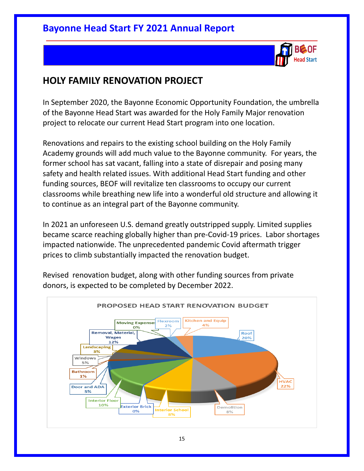![](_page_14_Picture_1.jpeg)

# **HOLY FAMILY RENOVATION PROJECT**

In September 2020, the Bayonne Economic Opportunity Foundation, the umbrella of the Bayonne Head Start was awarded for the Holy Family Major renovation project to relocate our current Head Start program into one location.

Renovations and repairs to the existing school building on the Holy Family Academy grounds will add much value to the Bayonne community. For years, the former school has sat vacant, falling into a state of disrepair and posing many safety and health related issues. With additional Head Start funding and other funding sources, BEOF will revitalize ten classrooms to occupy our current classrooms while breathing new life into a wonderful old structure and allowing it to continue as an integral part of the Bayonne community.

In 2021 an unforeseen U.S. demand greatly outstripped supply. Limited supplies became scarce reaching globally higher than pre-Covid-19 prices. Labor shortages impacted nationwide. The unprecedented pandemic Covid aftermath trigger prices to climb substantially impacted the renovation budget.

![](_page_14_Figure_6.jpeg)

Revised renovation budget, along with other funding sources from private donors, is expected to be completed by December 2022.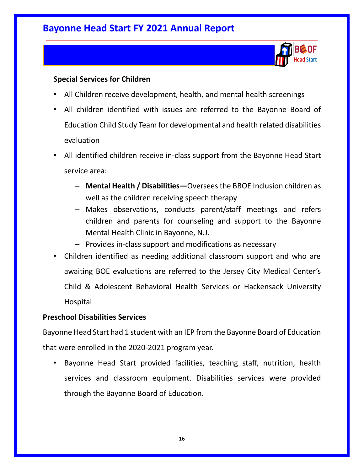![](_page_15_Picture_1.jpeg)

#### **Special Services for Children**

- All Children receive development, health, and mental health screenings
- All children identified with issues are referred to the Bayonne Board of Education Child Study Team for developmental and health related disabilities evaluation
- All identified children receive in-class support from the Bayonne Head Start service area:
	- **Mental Health / Disabilities—**Oversees the BBOE Inclusion children as well as the children receiving speech therapy
	- Makes observations, conducts parent/staff meetings and refers children and parents for counseling and support to the Bayonne Mental Health Clinic in Bayonne, N.J.
	- Provides in-class support and modifications as necessary
- Children identified as needing additional classroom support and who are awaiting BOE evaluations are referred to the Jersey City Medical Center's Child & Adolescent Behavioral Health Services or Hackensack University Hospital

#### **Preschool Disabilities Services**

Bayonne Head Start had 1 student with an IEP from the Bayonne Board of Education that were enrolled in the 2020-2021 program year.

• Bayonne Head Start provided facilities, teaching staff, nutrition, health services and classroom equipment. Disabilities services were provided through the Bayonne Board of Education.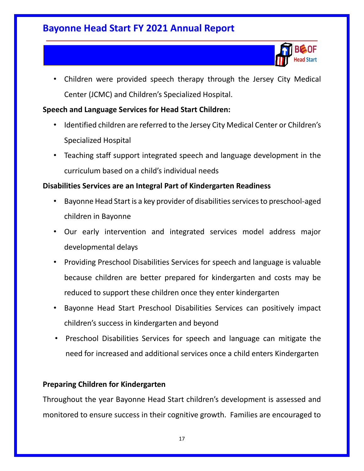![](_page_16_Picture_1.jpeg)

• Children were provided speech therapy through the Jersey City Medical Center (JCMC) and Children's Specialized Hospital.

#### **Speech and Language Services for Head Start Children:**

- Identified children are referred to the Jersey City Medical Center or Children's Specialized Hospital
- Teaching staff support integrated speech and language development in the curriculum based on a child's individual needs

#### **Disabilities Services are an Integral Part of Kindergarten Readiness**

- Bayonne Head Start is a key provider of disabilities services to preschool-aged children in Bayonne
- Our early intervention and integrated services model address major developmental delays
- Providing Preschool Disabilities Services for speech and language is valuable because children are better prepared for kindergarten and costs may be reduced to support these children once they enter kindergarten
- Bayonne Head Start Preschool Disabilities Services can positively impact children's success in kindergarten and beyond
- Preschool Disabilities Services for speech and language can mitigate the need for increased and additional services once a child enters Kindergarten

#### **Preparing Children for Kindergarten**

Throughout the year Bayonne Head Start children's development is assessed and monitored to ensure success in their cognitive growth. Families are encouraged to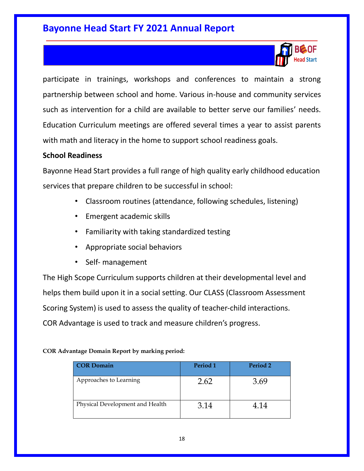![](_page_17_Picture_1.jpeg)

participate in trainings, workshops and conferences to maintain a strong partnership between school and home. Various in-house and community services such as intervention for a child are available to better serve our families' needs. Education Curriculum meetings are offered several times a year to assist parents with math and literacy in the home to support school readiness goals.

#### **School Readiness**

Bayonne Head Start provides a full range of high quality early childhood education services that prepare children to be successful in school:

- Classroom routines (attendance, following schedules, listening)
- Emergent academic skills
- Familiarity with taking standardized testing
- Appropriate social behaviors
- Self- management

The High Scope Curriculum supports children at their developmental level and helps them build upon it in a social setting. Our CLASS (Classroom Assessment Scoring System) is used to assess the quality of teacher-child interactions. COR Advantage is used to track and measure children's progress.

**COR Advantage Domain Report by marking period:** 

| <b>COR Domain</b>               | Period 1 | Period 2 |
|---------------------------------|----------|----------|
| Approaches to Learning          | 2.62     | 3.69     |
| Physical Development and Health | 3.14     | 4.14     |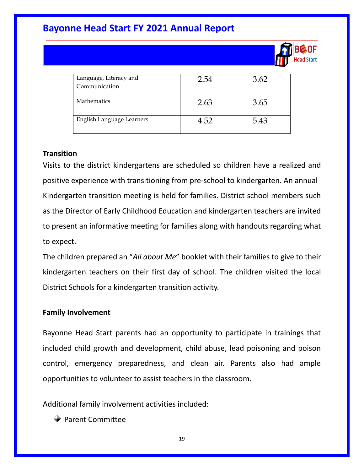![](_page_18_Picture_1.jpeg)

| Language, Literacy and    | 2.54 | 3.62 |
|---------------------------|------|------|
| Communication             |      |      |
|                           |      |      |
| <b>Mathematics</b>        | 2.63 | 3.65 |
| English Language Learners | 4.52 | 5.43 |

#### **Transition**

Visits to the district kindergartens are scheduled so children have a realized and positive experience with transitioning from pre-school to kindergarten. An annual Kindergarten transition meeting is held for families. District school members such as the Director of Early Childhood Education and kindergarten teachers are invited to present an informative meeting for families along with handouts regarding what to expect.

The children prepared an "*All about Me*" booklet with their families to give to their kindergarten teachers on their first day of school. The children visited the local District Schools for a kindergarten transition activity.

#### **Family Involvement**

Bayonne Head Start parents had an opportunity to participate in trainings that included child growth and development, child abuse, lead poisoning and poison control, emergency preparedness, and clean air. Parents also had ample opportunities to volunteer to assist teachers in the classroom.

Additional family involvement activities included:

 $\rightarrow$  Parent Committee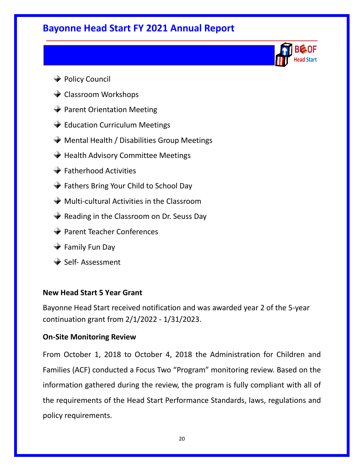ad Start

- **→ Policy Council**
- **→** Classroom Workshops
- $\rightarrow$  Parent Orientation Meeting
- **Education Curriculum Meetings**
- $\rightarrow$  Mental Health / Disabilities Group Meetings
- $\rightarrow$  Health Advisory Committee Meetings
- $\rightarrow$  Fatherhood Activities
- **→** Fathers Bring Your Child to School Day
- $\rightarrow$  Multi-cultural Activities in the Classroom
- $\blacktriangleright$  Reading in the Classroom on Dr. Seuss Day
- **→ Parent Teacher Conferences**
- **→** Family Fun Day
- $\rightarrow$  Self- Assessment

#### **New Head Start 5 Year Grant**

Bayonne Head Start received notification and was awarded year 2 of the 5-year continuation grant from 2/1/2022 - 1/31/2023.

#### **On-Site Monitoring Review**

From October 1, 2018 to October 4, 2018 the Administration for Children and Families (ACF) conducted a Focus Two "Program" monitoring review. Based on the information gathered during the review, the program is fully compliant with all of the requirements of the Head Start Performance Standards, laws, regulations and policy requirements.